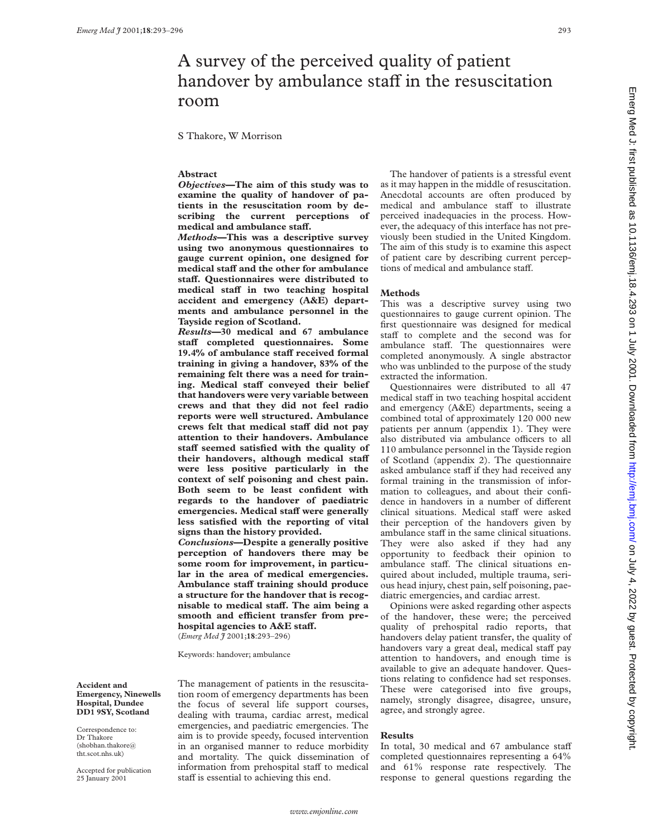# A survey of the perceived quality of patient handover by ambulance staff in the resuscitation room

S Thakore, W Morrison

# **Abstract**

*Objectives***—The aim of this study was to examine the quality of handover of patients in the resuscitation room by describing the current perceptions of** medical and ambulance staff.

*Methods***—This was a descriptive survey using two anonymous questionnaires to gauge current opinion, one designed for medical staV and the other for ambulance staV. Questionnaires were distributed to medical staV in two teaching hospital accident and emergency (A&E) departments and ambulance personnel in the Tayside region of Scotland.**

*Results***—30 medical and 67 ambulance staV completed questionnaires. Some** 19.4% of ambulance staff received formal **training in giving a handover, 83% of the remaining felt there was a need for train**ing. Medical staff conveyed their belief **that handovers were very variable between crews and that they did not feel radio reports were well structured. Ambulance** crews felt that medical staff did not pay **attention to their handovers. Ambulance staV seemed satisfied with the quality of** their handovers, although medical staff **were less positive particularly in the context of self poisoning and chest pain. Both seem to be least confident with regards to the handover of paediatric emergencies. Medical staV were generally less satisfied with the reporting of vital signs than the history provided.**

*Conclusions***—Despite a generally positive perception of handovers there may be some room for improvement, in particular in the area of medical emergencies.** Ambulance staff training should produce **a structure for the handover that is recognisable to medical staV. The aim being a** smooth and efficient transfer from pre**hospital agencies to A&E staff.** (*Emerg Med J* 2001;**18**:293–296)

Keywords: handover; ambulance

**Accident and Emergency, Ninewells Hospital, Dundee DD1 9SY, Scotland**

Correspondence to: Dr Thakore (shobhan.thakore@ tht.scot.nhs.uk)

Accepted for publication 25 January 2001

The management of patients in the resuscitation room of emergency departments has been the focus of several life support courses, dealing with trauma, cardiac arrest, medical emergencies, and paediatric emergencies. The aim is to provide speedy, focused intervention in an organised manner to reduce morbidity and mortality. The quick dissemination of information from prehospital staff to medical staff is essential to achieving this end.

The handover of patients is a stressful event as it may happen in the middle of resuscitation. Anecdotal accounts are often produced by medical and ambulance staff to illustrate perceived inadequacies in the process. However, the adequacy of this interface has not previously been studied in the United Kingdom. The aim of this study is to examine this aspect of patient care by describing current perceptions of medical and ambulance staff.

#### **Methods**

This was a descriptive survey using two questionnaires to gauge current opinion. The first questionnaire was designed for medical staff to complete and the second was for ambulance staff. The questionnaires were completed anonymously. A single abstractor who was unblinded to the purpose of the study extracted the information.

Questionnaires were distributed to all 47 medical staff in two teaching hospital accident and emergency (A&E) departments, seeing a combined total of approximately 120 000 new patients per annum (appendix 1). They were also distributed via ambulance officers to all 110 ambulance personnel in the Tayside region of Scotland (appendix 2). The questionnaire asked ambulance staff if they had received any formal training in the transmission of information to colleagues, and about their confidence in handovers in a number of different clinical situations. Medical staff were asked their perception of the handovers given by ambulance staff in the same clinical situations. They were also asked if they had any opportunity to feedback their opinion to ambulance staff. The clinical situations enquired about included, multiple trauma, serious head injury, chest pain, self poisoning, paediatric emergencies, and cardiac arrest.

Opinions were asked regarding other aspects of the handover, these were; the perceived quality of prehospital radio reports, that handovers delay patient transfer, the quality of handovers vary a great deal, medical staff pay attention to handovers, and enough time is available to give an adequate handover. Questions relating to confidence had set responses. These were categorised into five groups, namely, strongly disagree, disagree, unsure, agree, and strongly agree.

### **Results**

In total, 30 medical and 67 ambulance staff completed questionnaires representing a 64% and 61% response rate respectively. The response to general questions regarding the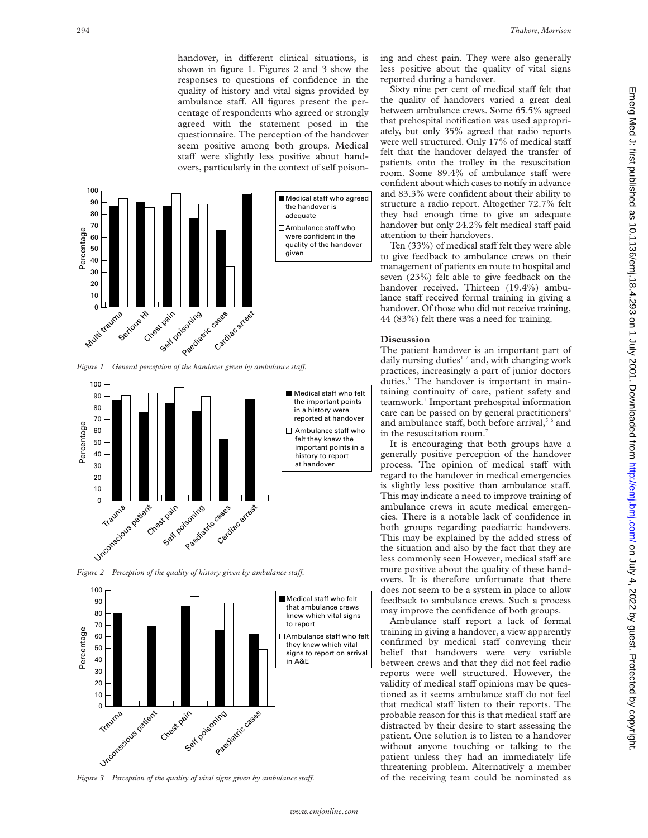handover, in different clinical situations, is shown in figure 1. Figures 2 and 3 show the responses to questions of confidence in the quality of history and vital signs provided by ambulance staff. All figures present the percentage of respondents who agreed or strongly agreed with the statement posed in the questionnaire. The perception of the handover seem positive among both groups. Medical staff were slightly less positive about handovers, particularly in the context of self poison-



*Figure 1 General perception of the handover given by ambulance staff.* 



*Figure 2 Perception of the quality of history given by ambulance staff.* 



*Figure 3* Perception of the quality of vital signs given by ambulance staff.

ing and chest pain. They were also generally less positive about the quality of vital signs reported during a handover.

Sixty nine per cent of medical staff felt that the quality of handovers varied a great deal between ambulance crews. Some 65.5% agreed that prehospital notification was used appropriately, but only 35% agreed that radio reports were well structured. Only 17% of medical staff felt that the handover delayed the transfer of patients onto the trolley in the resuscitation room. Some 89.4% of ambulance staff were confident about which cases to notify in advance and 83.3% were confident about their ability to structure a radio report. Altogether 72.7% felt they had enough time to give an adequate handover but only 24.2% felt medical staff paid attention to their handovers.

Ten (33%) of medical staff felt they were able to give feedback to ambulance crews on their management of patients en route to hospital and seven (23%) felt able to give feedback on the handover received. Thirteen (19.4%) ambulance staff received formal training in giving a handover. Of those who did not receive training, 44 (83%) felt there was a need for training.

# **Discussion**

The patient handover is an important part of daily nursing duties<sup>12</sup> and, with changing work practices, increasingly a part of junior doctors duties.<sup>3</sup> The handover is important in maintaining continuity of care, patient safety and teamwork.<sup>1</sup> Important prehospital information care can be passed on by general practitioners<sup>4</sup> and ambulance staff, both before arrival, $5^{\circ}$  and in the resuscitation room.<sup>7</sup>

It is encouraging that both groups have a generally positive perception of the handover process. The opinion of medical staff with regard to the handover in medical emergencies is slightly less positive than ambulance staff. This may indicate a need to improve training of ambulance crews in acute medical emergencies. There is a notable lack of confidence in both groups regarding paediatric handovers. This may be explained by the added stress of the situation and also by the fact that they are less commonly seen However, medical staff are more positive about the quality of these handovers. It is therefore unfortunate that there does not seem to be a system in place to allow feedback to ambulance crews. Such a process may improve the confidence of both groups.

Ambulance staff report a lack of formal training in giving a handover, a view apparently confirmed by medical staff conveying their belief that handovers were very variable between crews and that they did not feel radio reports were well structured. However, the validity of medical staff opinions may be questioned as it seems ambulance staff do not feel that medical staff listen to their reports. The probable reason for this is that medical staff are distracted by their desire to start assessing the patient. One solution is to listen to a handover without anyone touching or talking to the patient unless they had an immediately life threatening problem. Alternatively a member of the receiving team could be nominated as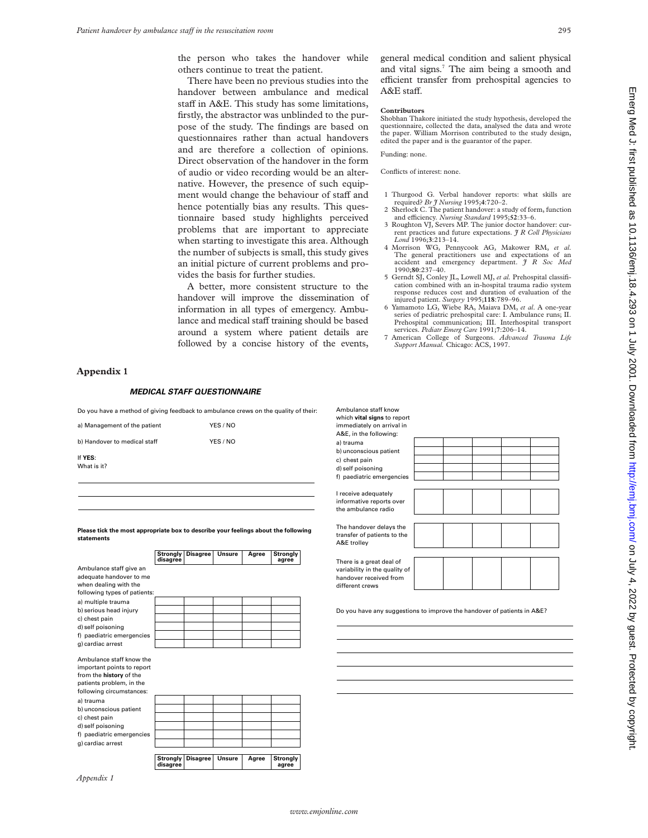the person who takes the handover while others continue to treat the patient.

There have been no previous studies into the handover between ambulance and medical staff in A&E. This study has some limitations, firstly, the abstractor was unblinded to the purpose of the study. The findings are based on questionnaires rather than actual handovers and are therefore a collection of opinions. Direct observation of the handover in the form of audio or video recording would be an alternative. However, the presence of such equipment would change the behaviour of staff and hence potentially bias any results. This questionnaire based study highlights perceived problems that are important to appreciate when starting to investigate this area. Although the number of subjects is small, this study gives an initial picture of current problems and provides the basis for further studies.

A better, more consistent structure to the handover will improve the dissemination of information in all types of emergency. Ambulance and medical staff training should be based around a system where patient details are followed by a concise history of the events,

general medical condition and salient physical and vital signs.<sup>7</sup> The aim being a smooth and efficient transfer from prehospital agencies to A&E staff.

#### **Contributors**

Shobhan Thakore initiated the study hypothesis, developed the questionnaire, collected the data, analysed the data and wrote the paper. William Morrison contributed to the study design, edited the paper and is the guarantor of the paper.

Funding: none.

Conflicts of interest: none.

- 1 Thurgood G. Verbal handover reports: what skills are required? *Br J Nursing* 1995;**4**:720–2.
- 2 Sherlock C. The patient handover: a study of form, function and efficiency. *Nursing Standard* 1995;52:33-6.
- 3 Roughton VJ, Severs MP. The junior doctor handover: current practices and future expectations. *J R Coll Physicians Lond* 1996;**3**:213–14.
- 4 Morrison WG, Pennycook AG, Makower RM, *et al*. The general practitioners use and expectations of an accident and emergency department.  $\tilde{\jmath}$  R Soc Med emergency department. *J R Soc Med* 1990;**80**:237–40.
- 5 Gerndt SJ, Conley JL, Lowell MJ, *et al.* Prehospital classification combined with an in-hospital trauma radio system response reduces cost and duration of evaluation of the injured patient. *Surgery* 1995;**118**:789–96.
- 6 Yamamoto LG, Wiebe RA, Maiava DM, *et al*. A one-year series of pediatric prehospital care: I. Ambulance runs; II. Prehospital communication; III. Interhospital transport services. *Pediatr Emerg Care* 1991;**7**:206–14.
- 7 American College of Surgeons. *Advanced Trauma Life Support Manual.* Chicago: ACS, 1997.

# **Appendix 1**

#### *MEDICAL STAFF QUESTIONNAIRE*

Do you have a method of giving feedback to ambulance crews on the quality of their:

| a) Management of the patient | YES / NO |
|------------------------------|----------|
| b) Handover to medical staff | YES / NO |
| If YES:<br>What is it?       |          |

**Please tick the most appropriate box to describe your feelings about the following statements**

|                                                                                                                                           | Strongly<br>disagree | <b>Disagree</b> | <b>Unsure</b> | Agree | Strongly<br>agree |
|-------------------------------------------------------------------------------------------------------------------------------------------|----------------------|-----------------|---------------|-------|-------------------|
| Ambulance staff give an<br>adequate handover to me<br>when dealing with the                                                               |                      |                 |               |       |                   |
| following types of patients:                                                                                                              |                      |                 |               |       |                   |
| a) multiple trauma                                                                                                                        |                      |                 |               |       |                   |
| b) serious head injury                                                                                                                    |                      |                 |               |       |                   |
| c) chest pain                                                                                                                             |                      |                 |               |       |                   |
| d) self poisoning                                                                                                                         |                      |                 |               |       |                   |
| f) paediatric emergencies                                                                                                                 |                      |                 |               |       |                   |
| g) cardiac arrest                                                                                                                         |                      |                 |               |       |                   |
| Ambulance staff know the<br>important points to report<br>from the history of the<br>patients problem, in the<br>following circumstances: |                      |                 |               |       |                   |
| a) trauma                                                                                                                                 |                      |                 |               |       |                   |
| b) unconscious patient                                                                                                                    |                      |                 |               |       |                   |
| c) chest pain                                                                                                                             |                      |                 |               |       |                   |
| d) self poisoning                                                                                                                         |                      |                 |               |       |                   |
| f) paediatric emergencies                                                                                                                 |                      |                 |               |       |                   |
| g) cardiac arrest                                                                                                                         |                      |                 |               |       |                   |
|                                                                                                                                           | Stronalv             |                 | Unsure        |       |                   |
|                                                                                                                                           | disagree             | <b>Disagree</b> |               | Agree | Strongly<br>agree |

| Ambulance staff know<br>which vital signs to report<br>immediately on arrival in<br>A&E, in the following: |  |  |  |
|------------------------------------------------------------------------------------------------------------|--|--|--|
| a) trauma                                                                                                  |  |  |  |
| b) unconscious patient                                                                                     |  |  |  |
| c) chest pain                                                                                              |  |  |  |
| d) self poisoning                                                                                          |  |  |  |
| f) paediatric emergencies                                                                                  |  |  |  |
|                                                                                                            |  |  |  |
| I receive adequately<br>informative reports over<br>the ambulance radio                                    |  |  |  |
|                                                                                                            |  |  |  |
| The handover delays the<br>transfer of patients to the<br>A&E trolley                                      |  |  |  |
|                                                                                                            |  |  |  |
| There is a great deal of<br>variability in the quality of<br>handover received from<br>different crews     |  |  |  |
|                                                                                                            |  |  |  |
|                                                                                                            |  |  |  |

Do you have any suggestions to improve the handover of patients in A&E?